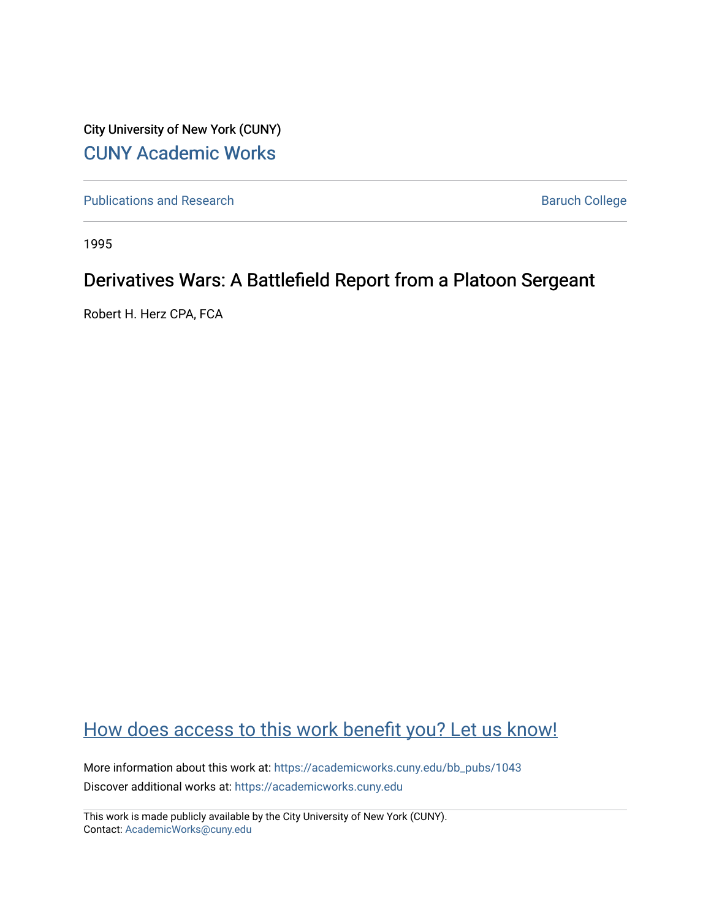City University of New York (CUNY) [CUNY Academic Works](https://academicworks.cuny.edu/) 

[Publications and Research](https://academicworks.cuny.edu/bb_pubs) **Baruch College** Baruch College

1995

# Derivatives Wars: A Battlefield Report from a Platoon Sergeant

Robert H. Herz CPA, FCA

## [How does access to this work benefit you? Let us know!](http://ols.cuny.edu/academicworks/?ref=https://academicworks.cuny.edu/bb_pubs/1043)

More information about this work at: [https://academicworks.cuny.edu/bb\\_pubs/1043](https://academicworks.cuny.edu/bb_pubs/1043) Discover additional works at: [https://academicworks.cuny.edu](https://academicworks.cuny.edu/?)

This work is made publicly available by the City University of New York (CUNY). Contact: [AcademicWorks@cuny.edu](mailto:AcademicWorks@cuny.edu)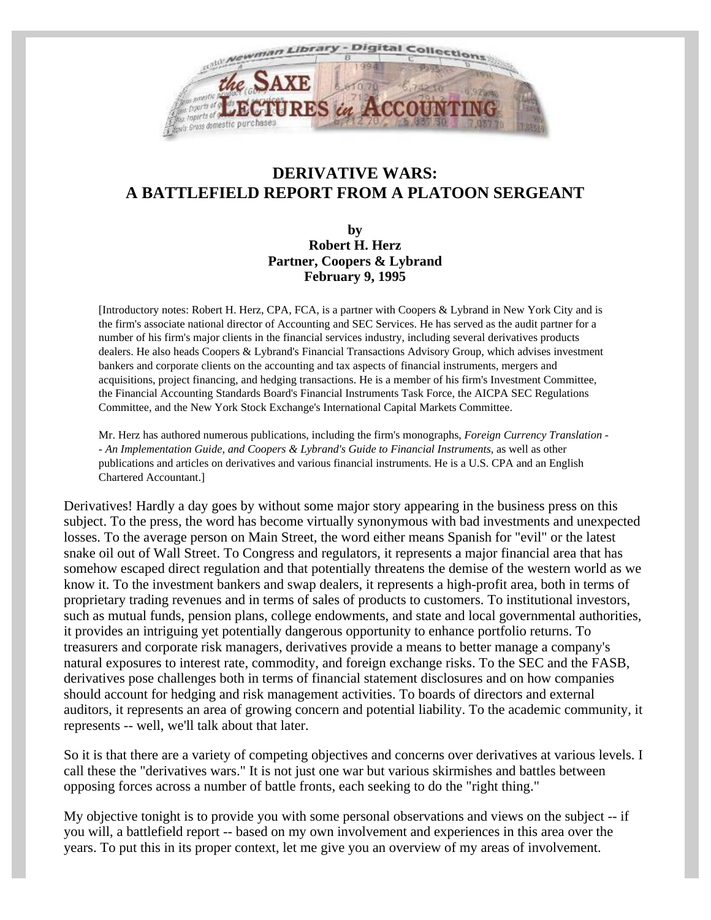

### **DERIVATIVE WARS: A BATTLEFIELD REPORT FROM A PLATOON SERGEANT**

**by Robert H. Herz Partner, Coopers & Lybrand February 9, 1995**

[Introductory notes: Robert H. Herz, CPA, FCA, is a partner with Coopers & Lybrand in New York City and is the firm's associate national director of Accounting and SEC Services. He has served as the audit partner for a number of his firm's major clients in the financial services industry, including several derivatives products dealers. He also heads Coopers & Lybrand's Financial Transactions Advisory Group, which advises investment bankers and corporate clients on the accounting and tax aspects of financial instruments, mergers and acquisitions, project financing, and hedging transactions. He is a member of his firm's Investment Committee, the Financial Accounting Standards Board's Financial Instruments Task Force, the AICPA SEC Regulations Committee, and the New York Stock Exchange's International Capital Markets Committee.

Mr. Herz has authored numerous publications, including the firm's monographs, *Foreign Currency Translation - - An Implementation Guide, and Coopers & Lybrand's Guide to Financial Instruments*, as well as other publications and articles on derivatives and various financial instruments. He is a U.S. CPA and an English Chartered Accountant.]

Derivatives! Hardly a day goes by without some major story appearing in the business press on this subject. To the press, the word has become virtually synonymous with bad investments and unexpected losses. To the average person on Main Street, the word either means Spanish for "evil" or the latest snake oil out of Wall Street. To Congress and regulators, it represents a major financial area that has somehow escaped direct regulation and that potentially threatens the demise of the western world as we know it. To the investment bankers and swap dealers, it represents a high-profit area, both in terms of proprietary trading revenues and in terms of sales of products to customers. To institutional investors, such as mutual funds, pension plans, college endowments, and state and local governmental authorities, it provides an intriguing yet potentially dangerous opportunity to enhance portfolio returns. To treasurers and corporate risk managers, derivatives provide a means to better manage a company's natural exposures to interest rate, commodity, and foreign exchange risks. To the SEC and the FASB, derivatives pose challenges both in terms of financial statement disclosures and on how companies should account for hedging and risk management activities. To boards of directors and external auditors, it represents an area of growing concern and potential liability. To the academic community, it represents -- well, we'll talk about that later.

So it is that there are a variety of competing objectives and concerns over derivatives at various levels. I call these the "derivatives wars." It is not just one war but various skirmishes and battles between opposing forces across a number of battle fronts, each seeking to do the "right thing."

My objective tonight is to provide you with some personal observations and views on the subject -- if you will, a battlefield report -- based on my own involvement and experiences in this area over the years. To put this in its proper context, let me give you an overview of my areas of involvement.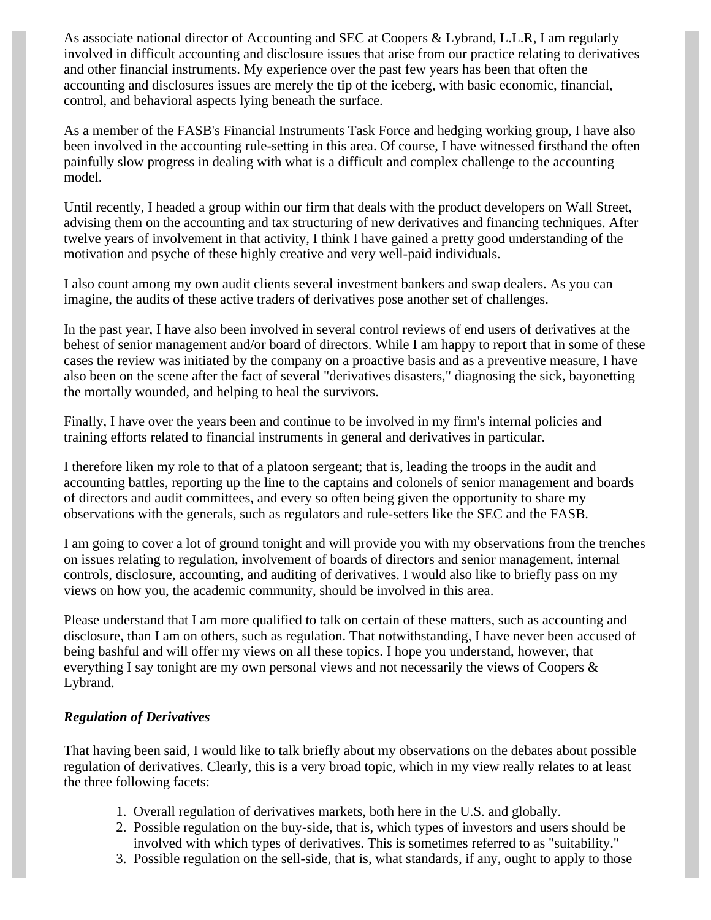As associate national director of Accounting and SEC at Coopers & Lybrand, L.L.R, I am regularly involved in difficult accounting and disclosure issues that arise from our practice relating to derivatives and other financial instruments. My experience over the past few years has been that often the accounting and disclosures issues are merely the tip of the iceberg, with basic economic, financial, control, and behavioral aspects lying beneath the surface.

As a member of the FASB's Financial Instruments Task Force and hedging working group, I have also been involved in the accounting rule-setting in this area. Of course, I have witnessed firsthand the often painfully slow progress in dealing with what is a difficult and complex challenge to the accounting model.

Until recently, I headed a group within our firm that deals with the product developers on Wall Street, advising them on the accounting and tax structuring of new derivatives and financing techniques. After twelve years of involvement in that activity, I think I have gained a pretty good understanding of the motivation and psyche of these highly creative and very well-paid individuals.

I also count among my own audit clients several investment bankers and swap dealers. As you can imagine, the audits of these active traders of derivatives pose another set of challenges.

In the past year, I have also been involved in several control reviews of end users of derivatives at the behest of senior management and/or board of directors. While I am happy to report that in some of these cases the review was initiated by the company on a proactive basis and as a preventive measure, I have also been on the scene after the fact of several "derivatives disasters," diagnosing the sick, bayonetting the mortally wounded, and helping to heal the survivors.

Finally, I have over the years been and continue to be involved in my firm's internal policies and training efforts related to financial instruments in general and derivatives in particular.

I therefore liken my role to that of a platoon sergeant; that is, leading the troops in the audit and accounting battles, reporting up the line to the captains and colonels of senior management and boards of directors and audit committees, and every so often being given the opportunity to share my observations with the generals, such as regulators and rule-setters like the SEC and the FASB.

I am going to cover a lot of ground tonight and will provide you with my observations from the trenches on issues relating to regulation, involvement of boards of directors and senior management, internal controls, disclosure, accounting, and auditing of derivatives. I would also like to briefly pass on my views on how you, the academic community, should be involved in this area.

Please understand that I am more qualified to talk on certain of these matters, such as accounting and disclosure, than I am on others, such as regulation. That notwithstanding, I have never been accused of being bashful and will offer my views on all these topics. I hope you understand, however, that everything I say tonight are my own personal views and not necessarily the views of Coopers & Lybrand.

#### *Regulation of Derivatives*

That having been said, I would like to talk briefly about my observations on the debates about possible regulation of derivatives. Clearly, this is a very broad topic, which in my view really relates to at least the three following facets:

- 1. Overall regulation of derivatives markets, both here in the U.S. and globally.
- 2. Possible regulation on the buy-side, that is, which types of investors and users should be involved with which types of derivatives. This is sometimes referred to as "suitability."
- 3. Possible regulation on the sell-side, that is, what standards, if any, ought to apply to those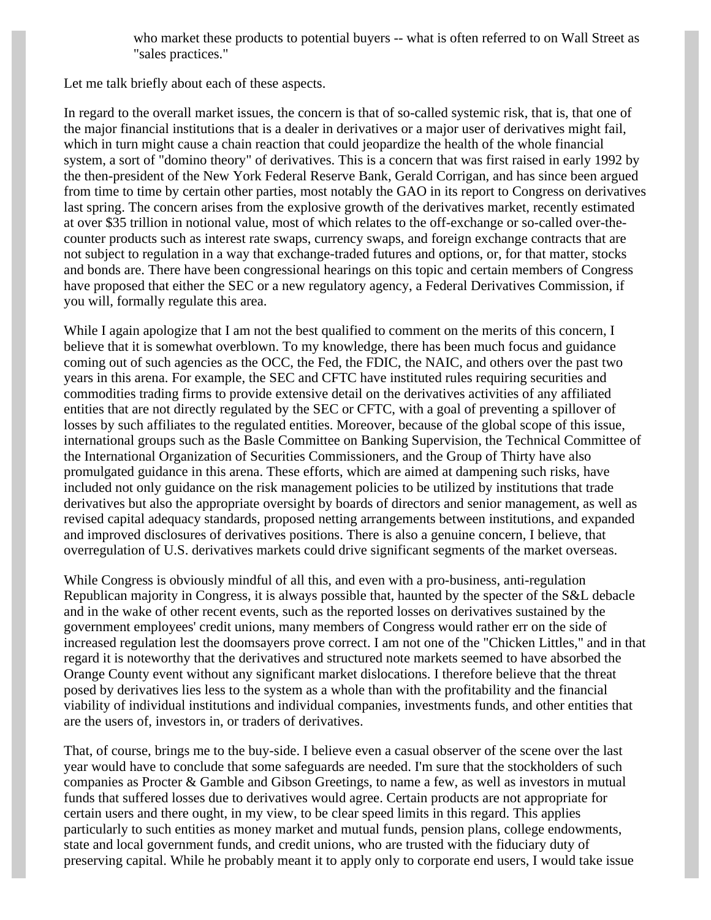who market these products to potential buyers -- what is often referred to on Wall Street as "sales practices."

Let me talk briefly about each of these aspects.

In regard to the overall market issues, the concern is that of so-called systemic risk, that is, that one of the major financial institutions that is a dealer in derivatives or a major user of derivatives might fail, which in turn might cause a chain reaction that could jeopardize the health of the whole financial system, a sort of "domino theory" of derivatives. This is a concern that was first raised in early 1992 by the then-president of the New York Federal Reserve Bank, Gerald Corrigan, and has since been argued from time to time by certain other parties, most notably the GAO in its report to Congress on derivatives last spring. The concern arises from the explosive growth of the derivatives market, recently estimated at over \$35 trillion in notional value, most of which relates to the off-exchange or so-called over-thecounter products such as interest rate swaps, currency swaps, and foreign exchange contracts that are not subject to regulation in a way that exchange-traded futures and options, or, for that matter, stocks and bonds are. There have been congressional hearings on this topic and certain members of Congress have proposed that either the SEC or a new regulatory agency, a Federal Derivatives Commission, if you will, formally regulate this area.

While I again apologize that I am not the best qualified to comment on the merits of this concern, I believe that it is somewhat overblown. To my knowledge, there has been much focus and guidance coming out of such agencies as the OCC, the Fed, the FDIC, the NAIC, and others over the past two years in this arena. For example, the SEC and CFTC have instituted rules requiring securities and commodities trading firms to provide extensive detail on the derivatives activities of any affiliated entities that are not directly regulated by the SEC or CFTC, with a goal of preventing a spillover of losses by such affiliates to the regulated entities. Moreover, because of the global scope of this issue, international groups such as the Basle Committee on Banking Supervision, the Technical Committee of the International Organization of Securities Commissioners, and the Group of Thirty have also promulgated guidance in this arena. These efforts, which are aimed at dampening such risks, have included not only guidance on the risk management policies to be utilized by institutions that trade derivatives but also the appropriate oversight by boards of directors and senior management, as well as revised capital adequacy standards, proposed netting arrangements between institutions, and expanded and improved disclosures of derivatives positions. There is also a genuine concern, I believe, that overregulation of U.S. derivatives markets could drive significant segments of the market overseas.

While Congress is obviously mindful of all this, and even with a pro-business, anti-regulation Republican majority in Congress, it is always possible that, haunted by the specter of the S&L debacle and in the wake of other recent events, such as the reported losses on derivatives sustained by the government employees' credit unions, many members of Congress would rather err on the side of increased regulation lest the doomsayers prove correct. I am not one of the "Chicken Littles," and in that regard it is noteworthy that the derivatives and structured note markets seemed to have absorbed the Orange County event without any significant market dislocations. I therefore believe that the threat posed by derivatives lies less to the system as a whole than with the profitability and the financial viability of individual institutions and individual companies, investments funds, and other entities that are the users of, investors in, or traders of derivatives.

That, of course, brings me to the buy-side. I believe even a casual observer of the scene over the last year would have to conclude that some safeguards are needed. I'm sure that the stockholders of such companies as Procter & Gamble and Gibson Greetings, to name a few, as well as investors in mutual funds that suffered losses due to derivatives would agree. Certain products are not appropriate for certain users and there ought, in my view, to be clear speed limits in this regard. This applies particularly to such entities as money market and mutual funds, pension plans, college endowments, state and local government funds, and credit unions, who are trusted with the fiduciary duty of preserving capital. While he probably meant it to apply only to corporate end users, I would take issue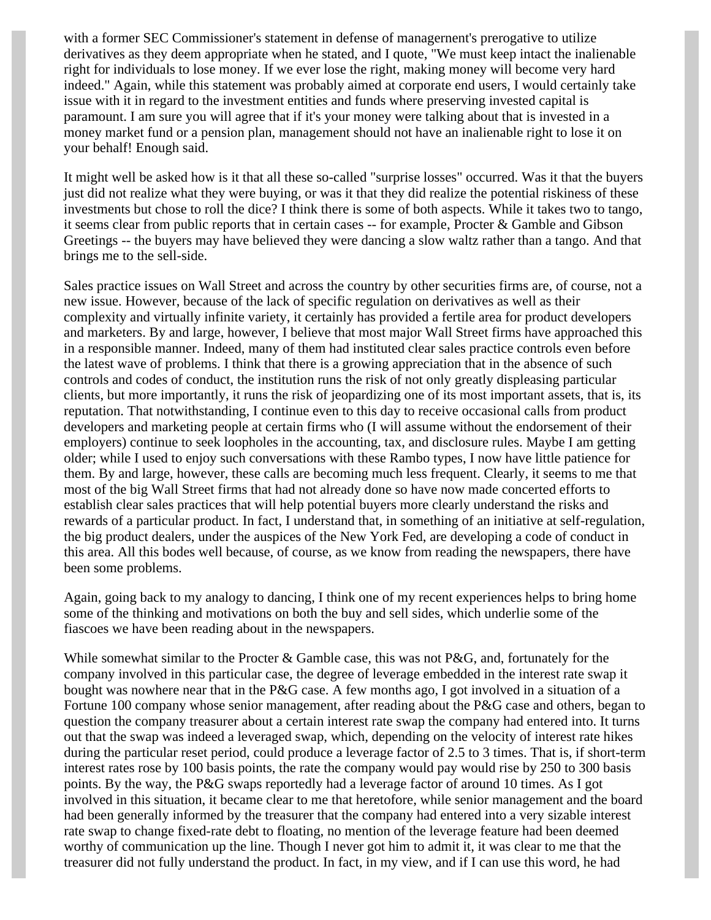with a former SEC Commissioner's statement in defense of managernent's prerogative to utilize derivatives as they deem appropriate when he stated, and I quote, "We must keep intact the inalienable right for individuals to lose money. If we ever lose the right, making money will become very hard indeed." Again, while this statement was probably aimed at corporate end users, I would certainly take issue with it in regard to the investment entities and funds where preserving invested capital is paramount. I am sure you will agree that if it's your money were talking about that is invested in a money market fund or a pension plan, management should not have an inalienable right to lose it on your behalf! Enough said.

It might well be asked how is it that all these so-called "surprise losses" occurred. Was it that the buyers just did not realize what they were buying, or was it that they did realize the potential riskiness of these investments but chose to roll the dice? I think there is some of both aspects. While it takes two to tango, it seems clear from public reports that in certain cases -- for example, Procter & Gamble and Gibson Greetings -- the buyers may have believed they were dancing a slow waltz rather than a tango. And that brings me to the sell-side.

Sales practice issues on Wall Street and across the country by other securities firms are, of course, not a new issue. However, because of the lack of specific regulation on derivatives as well as their complexity and virtually infinite variety, it certainly has provided a fertile area for product developers and marketers. By and large, however, I believe that most major Wall Street firms have approached this in a responsible manner. Indeed, many of them had instituted clear sales practice controls even before the latest wave of problems. I think that there is a growing appreciation that in the absence of such controls and codes of conduct, the institution runs the risk of not only greatly displeasing particular clients, but more importantly, it runs the risk of jeopardizing one of its most important assets, that is, its reputation. That notwithstanding, I continue even to this day to receive occasional calls from product developers and marketing people at certain firms who (I will assume without the endorsement of their employers) continue to seek loopholes in the accounting, tax, and disclosure rules. Maybe I am getting older; while I used to enjoy such conversations with these Rambo types, I now have little patience for them. By and large, however, these calls are becoming much less frequent. Clearly, it seems to me that most of the big Wall Street firms that had not already done so have now made concerted efforts to establish clear sales practices that will help potential buyers more clearly understand the risks and rewards of a particular product. In fact, I understand that, in something of an initiative at self-regulation, the big product dealers, under the auspices of the New York Fed, are developing a code of conduct in this area. All this bodes well because, of course, as we know from reading the newspapers, there have been some problems.

Again, going back to my analogy to dancing, I think one of my recent experiences helps to bring home some of the thinking and motivations on both the buy and sell sides, which underlie some of the fiascoes we have been reading about in the newspapers.

While somewhat similar to the Procter & Gamble case, this was not P&G, and, fortunately for the company involved in this particular case, the degree of leverage embedded in the interest rate swap it bought was nowhere near that in the P&G case. A few months ago, I got involved in a situation of a Fortune 100 company whose senior management, after reading about the P&G case and others, began to question the company treasurer about a certain interest rate swap the company had entered into. It turns out that the swap was indeed a leveraged swap, which, depending on the velocity of interest rate hikes during the particular reset period, could produce a leverage factor of 2.5 to 3 times. That is, if short-term interest rates rose by 100 basis points, the rate the company would pay would rise by 250 to 300 basis points. By the way, the P&G swaps reportedly had a leverage factor of around 10 times. As I got involved in this situation, it became clear to me that heretofore, while senior management and the board had been generally informed by the treasurer that the company had entered into a very sizable interest rate swap to change fixed-rate debt to floating, no mention of the leverage feature had been deemed worthy of communication up the line. Though I never got him to admit it, it was clear to me that the treasurer did not fully understand the product. In fact, in my view, and if I can use this word, he had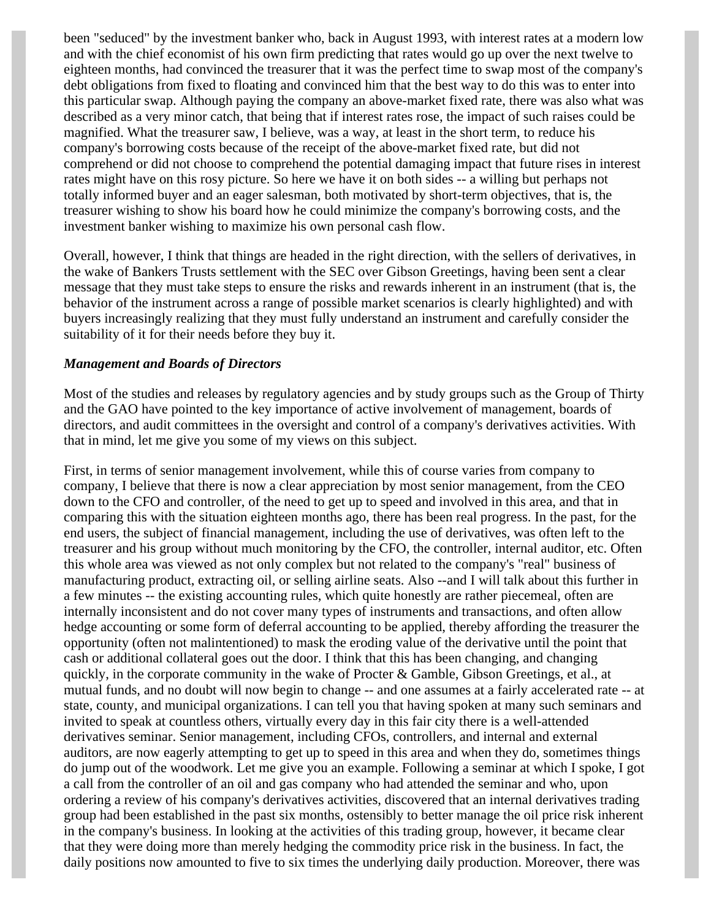been "seduced" by the investment banker who, back in August 1993, with interest rates at a modern low and with the chief economist of his own firm predicting that rates would go up over the next twelve to eighteen months, had convinced the treasurer that it was the perfect time to swap most of the company's debt obligations from fixed to floating and convinced him that the best way to do this was to enter into this particular swap. Although paying the company an above-market fixed rate, there was also what was described as a very minor catch, that being that if interest rates rose, the impact of such raises could be magnified. What the treasurer saw, I believe, was a way, at least in the short term, to reduce his company's borrowing costs because of the receipt of the above-market fixed rate, but did not comprehend or did not choose to comprehend the potential damaging impact that future rises in interest rates might have on this rosy picture. So here we have it on both sides -- a willing but perhaps not totally informed buyer and an eager salesman, both motivated by short-term objectives, that is, the treasurer wishing to show his board how he could minimize the company's borrowing costs, and the investment banker wishing to maximize his own personal cash flow.

Overall, however, I think that things are headed in the right direction, with the sellers of derivatives, in the wake of Bankers Trusts settlement with the SEC over Gibson Greetings, having been sent a clear message that they must take steps to ensure the risks and rewards inherent in an instrument (that is, the behavior of the instrument across a range of possible market scenarios is clearly highlighted) and with buyers increasingly realizing that they must fully understand an instrument and carefully consider the suitability of it for their needs before they buy it.

#### *Management and Boards of Directors*

Most of the studies and releases by regulatory agencies and by study groups such as the Group of Thirty and the GAO have pointed to the key importance of active involvement of management, boards of directors, and audit committees in the oversight and control of a company's derivatives activities. With that in mind, let me give you some of my views on this subject.

First, in terms of senior management involvement, while this of course varies from company to company, I believe that there is now a clear appreciation by most senior management, from the CEO down to the CFO and controller, of the need to get up to speed and involved in this area, and that in comparing this with the situation eighteen months ago, there has been real progress. In the past, for the end users, the subject of financial management, including the use of derivatives, was often left to the treasurer and his group without much monitoring by the CFO, the controller, internal auditor, etc. Often this whole area was viewed as not only complex but not related to the company's "real" business of manufacturing product, extracting oil, or selling airline seats. Also --and I will talk about this further in a few minutes -- the existing accounting rules, which quite honestly are rather piecemeal, often are internally inconsistent and do not cover many types of instruments and transactions, and often allow hedge accounting or some form of deferral accounting to be applied, thereby affording the treasurer the opportunity (often not malintentioned) to mask the eroding value of the derivative until the point that cash or additional collateral goes out the door. I think that this has been changing, and changing quickly, in the corporate community in the wake of Procter & Gamble, Gibson Greetings, et al., at mutual funds, and no doubt will now begin to change -- and one assumes at a fairly accelerated rate -- at state, county, and municipal organizations. I can tell you that having spoken at many such seminars and invited to speak at countless others, virtually every day in this fair city there is a well-attended derivatives seminar. Senior management, including CFOs, controllers, and internal and external auditors, are now eagerly attempting to get up to speed in this area and when they do, sometimes things do jump out of the woodwork. Let me give you an example. Following a seminar at which I spoke, I got a call from the controller of an oil and gas company who had attended the seminar and who, upon ordering a review of his company's derivatives activities, discovered that an internal derivatives trading group had been established in the past six months, ostensibly to better manage the oil price risk inherent in the company's business. In looking at the activities of this trading group, however, it became clear that they were doing more than merely hedging the commodity price risk in the business. In fact, the daily positions now amounted to five to six times the underlying daily production. Moreover, there was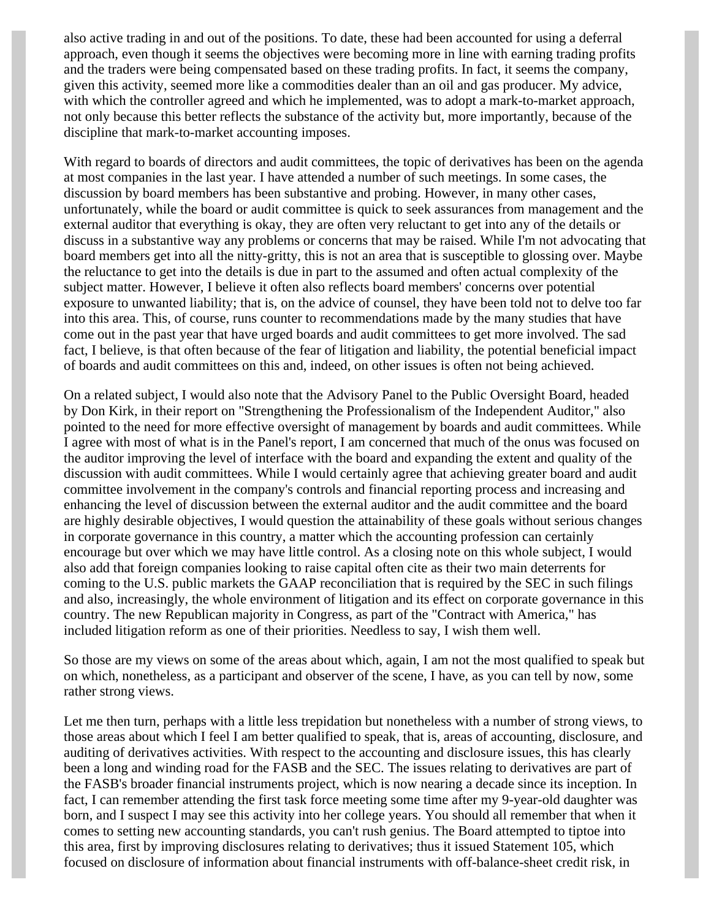also active trading in and out of the positions. To date, these had been accounted for using a deferral approach, even though it seems the objectives were becoming more in line with earning trading profits and the traders were being compensated based on these trading profits. In fact, it seems the company, given this activity, seemed more like a commodities dealer than an oil and gas producer. My advice, with which the controller agreed and which he implemented, was to adopt a mark-to-market approach, not only because this better reflects the substance of the activity but, more importantly, because of the discipline that mark-to-market accounting imposes.

With regard to boards of directors and audit committees, the topic of derivatives has been on the agenda at most companies in the last year. I have attended a number of such meetings. In some cases, the discussion by board members has been substantive and probing. However, in many other cases, unfortunately, while the board or audit committee is quick to seek assurances from management and the external auditor that everything is okay, they are often very reluctant to get into any of the details or discuss in a substantive way any problems or concerns that may be raised. While I'm not advocating that board members get into all the nitty-gritty, this is not an area that is susceptible to glossing over. Maybe the reluctance to get into the details is due in part to the assumed and often actual complexity of the subject matter. However, I believe it often also reflects board members' concerns over potential exposure to unwanted liability; that is, on the advice of counsel, they have been told not to delve too far into this area. This, of course, runs counter to recommendations made by the many studies that have come out in the past year that have urged boards and audit committees to get more involved. The sad fact, I believe, is that often because of the fear of litigation and liability, the potential beneficial impact of boards and audit committees on this and, indeed, on other issues is often not being achieved.

On a related subject, I would also note that the Advisory Panel to the Public Oversight Board, headed by Don Kirk, in their report on "Strengthening the Professionalism of the Independent Auditor," also pointed to the need for more effective oversight of management by boards and audit committees. While I agree with most of what is in the Panel's report, I am concerned that much of the onus was focused on the auditor improving the level of interface with the board and expanding the extent and quality of the discussion with audit committees. While I would certainly agree that achieving greater board and audit committee involvement in the company's controls and financial reporting process and increasing and enhancing the level of discussion between the external auditor and the audit committee and the board are highly desirable objectives, I would question the attainability of these goals without serious changes in corporate governance in this country, a matter which the accounting profession can certainly encourage but over which we may have little control. As a closing note on this whole subject, I would also add that foreign companies looking to raise capital often cite as their two main deterrents for coming to the U.S. public markets the GAAP reconciliation that is required by the SEC in such filings and also, increasingly, the whole environment of litigation and its effect on corporate governance in this country. The new Republican majority in Congress, as part of the "Contract with America," has included litigation reform as one of their priorities. Needless to say, I wish them well.

So those are my views on some of the areas about which, again, I am not the most qualified to speak but on which, nonetheless, as a participant and observer of the scene, I have, as you can tell by now, some rather strong views.

Let me then turn, perhaps with a little less trepidation but nonetheless with a number of strong views, to those areas about which I feel I am better qualified to speak, that is, areas of accounting, disclosure, and auditing of derivatives activities. With respect to the accounting and disclosure issues, this has clearly been a long and winding road for the FASB and the SEC. The issues relating to derivatives are part of the FASB's broader financial instruments project, which is now nearing a decade since its inception. In fact, I can remember attending the first task force meeting some time after my 9-year-old daughter was born, and I suspect I may see this activity into her college years. You should all remember that when it comes to setting new accounting standards, you can't rush genius. The Board attempted to tiptoe into this area, first by improving disclosures relating to derivatives; thus it issued Statement 105, which focused on disclosure of information about financial instruments with off-balance-sheet credit risk, in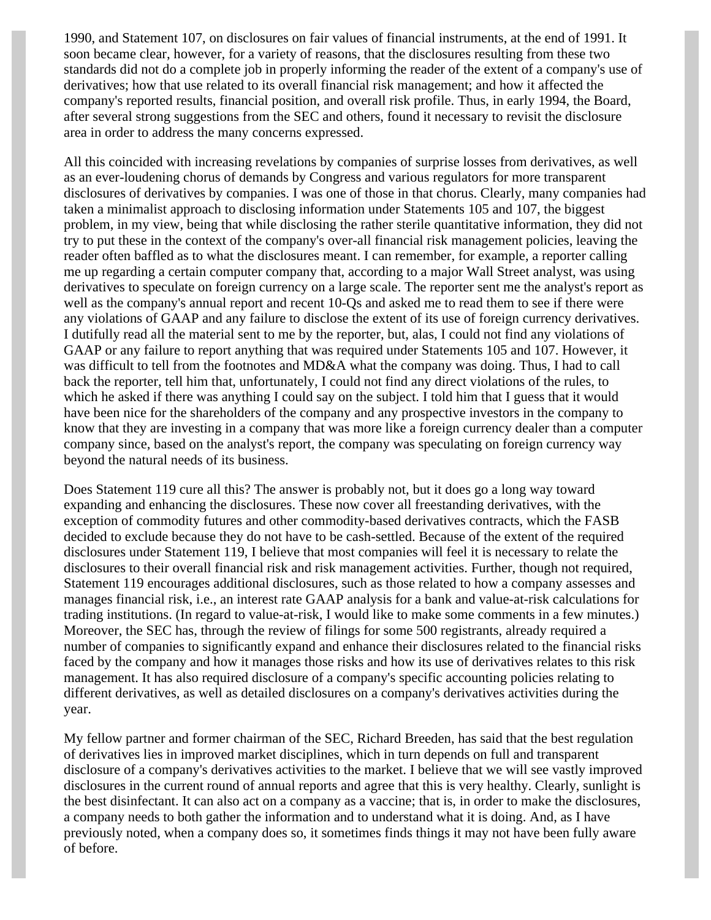1990, and Statement 107, on disclosures on fair values of financial instruments, at the end of 1991. It soon became clear, however, for a variety of reasons, that the disclosures resulting from these two standards did not do a complete job in properly informing the reader of the extent of a company's use of derivatives; how that use related to its overall financial risk management; and how it affected the company's reported results, financial position, and overall risk profile. Thus, in early 1994, the Board, after several strong suggestions from the SEC and others, found it necessary to revisit the disclosure area in order to address the many concerns expressed.

All this coincided with increasing revelations by companies of surprise losses from derivatives, as well as an ever-loudening chorus of demands by Congress and various regulators for more transparent disclosures of derivatives by companies. I was one of those in that chorus. Clearly, many companies had taken a minimalist approach to disclosing information under Statements 105 and 107, the biggest problem, in my view, being that while disclosing the rather sterile quantitative information, they did not try to put these in the context of the company's over-all financial risk management policies, leaving the reader often baffled as to what the disclosures meant. I can remember, for example, a reporter calling me up regarding a certain computer company that, according to a major Wall Street analyst, was using derivatives to speculate on foreign currency on a large scale. The reporter sent me the analyst's report as well as the company's annual report and recent 10-Qs and asked me to read them to see if there were any violations of GAAP and any failure to disclose the extent of its use of foreign currency derivatives. I dutifully read all the material sent to me by the reporter, but, alas, I could not find any violations of GAAP or any failure to report anything that was required under Statements 105 and 107. However, it was difficult to tell from the footnotes and MD&A what the company was doing. Thus, I had to call back the reporter, tell him that, unfortunately, I could not find any direct violations of the rules, to which he asked if there was anything I could say on the subject. I told him that I guess that it would have been nice for the shareholders of the company and any prospective investors in the company to know that they are investing in a company that was more like a foreign currency dealer than a computer company since, based on the analyst's report, the company was speculating on foreign currency way beyond the natural needs of its business.

Does Statement 119 cure all this? The answer is probably not, but it does go a long way toward expanding and enhancing the disclosures. These now cover all freestanding derivatives, with the exception of commodity futures and other commodity-based derivatives contracts, which the FASB decided to exclude because they do not have to be cash-settled. Because of the extent of the required disclosures under Statement 119, I believe that most companies will feel it is necessary to relate the disclosures to their overall financial risk and risk management activities. Further, though not required, Statement 119 encourages additional disclosures, such as those related to how a company assesses and manages financial risk, i.e., an interest rate GAAP analysis for a bank and value-at-risk calculations for trading institutions. (In regard to value-at-risk, I would like to make some comments in a few minutes.) Moreover, the SEC has, through the review of filings for some 500 registrants, already required a number of companies to significantly expand and enhance their disclosures related to the financial risks faced by the company and how it manages those risks and how its use of derivatives relates to this risk management. It has also required disclosure of a company's specific accounting policies relating to different derivatives, as well as detailed disclosures on a company's derivatives activities during the year.

My fellow partner and former chairman of the SEC, Richard Breeden, has said that the best regulation of derivatives lies in improved market disciplines, which in turn depends on full and transparent disclosure of a company's derivatives activities to the market. I believe that we will see vastly improved disclosures in the current round of annual reports and agree that this is very healthy. Clearly, sunlight is the best disinfectant. It can also act on a company as a vaccine; that is, in order to make the disclosures, a company needs to both gather the information and to understand what it is doing. And, as I have previously noted, when a company does so, it sometimes finds things it may not have been fully aware of before.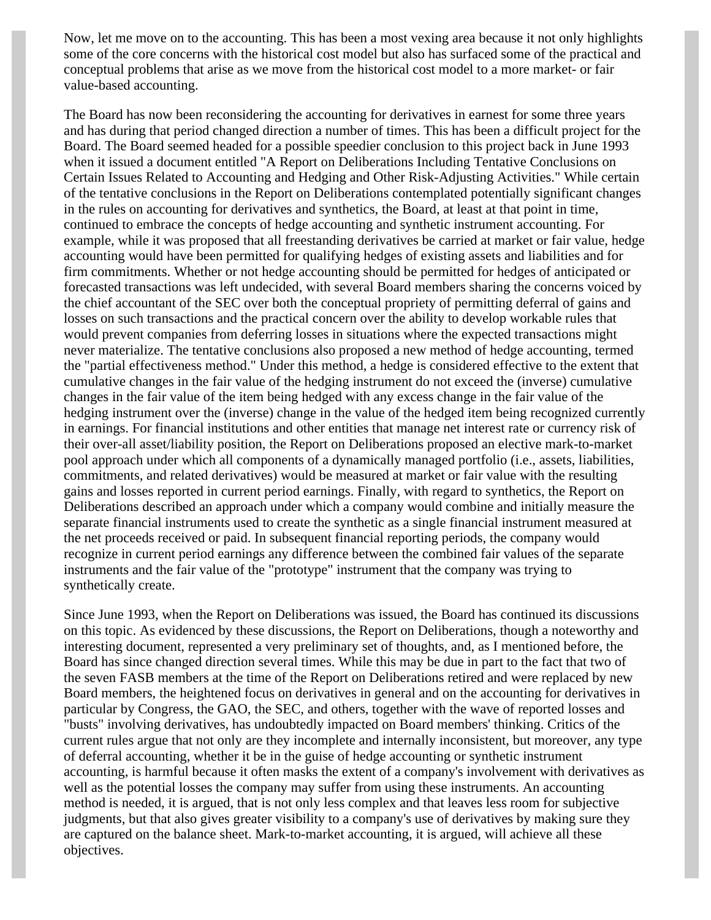Now, let me move on to the accounting. This has been a most vexing area because it not only highlights some of the core concerns with the historical cost model but also has surfaced some of the practical and conceptual problems that arise as we move from the historical cost model to a more market- or fair value-based accounting.

The Board has now been reconsidering the accounting for derivatives in earnest for some three years and has during that period changed direction a number of times. This has been a difficult project for the Board. The Board seemed headed for a possible speedier conclusion to this project back in June 1993 when it issued a document entitled "A Report on Deliberations Including Tentative Conclusions on Certain Issues Related to Accounting and Hedging and Other Risk-Adjusting Activities." While certain of the tentative conclusions in the Report on Deliberations contemplated potentially significant changes in the rules on accounting for derivatives and synthetics, the Board, at least at that point in time, continued to embrace the concepts of hedge accounting and synthetic instrument accounting. For example, while it was proposed that all freestanding derivatives be carried at market or fair value, hedge accounting would have been permitted for qualifying hedges of existing assets and liabilities and for firm commitments. Whether or not hedge accounting should be permitted for hedges of anticipated or forecasted transactions was left undecided, with several Board members sharing the concerns voiced by the chief accountant of the SEC over both the conceptual propriety of permitting deferral of gains and losses on such transactions and the practical concern over the ability to develop workable rules that would prevent companies from deferring losses in situations where the expected transactions might never materialize. The tentative conclusions also proposed a new method of hedge accounting, termed the "partial effectiveness method." Under this method, a hedge is considered effective to the extent that cumulative changes in the fair value of the hedging instrument do not exceed the (inverse) cumulative changes in the fair value of the item being hedged with any excess change in the fair value of the hedging instrument over the (inverse) change in the value of the hedged item being recognized currently in earnings. For financial institutions and other entities that manage net interest rate or currency risk of their over-all asset/liability position, the Report on Deliberations proposed an elective mark-to-market pool approach under which all components of a dynamically managed portfolio (i.e., assets, liabilities, commitments, and related derivatives) would be measured at market or fair value with the resulting gains and losses reported in current period earnings. Finally, with regard to synthetics, the Report on Deliberations described an approach under which a company would combine and initially measure the separate financial instruments used to create the synthetic as a single financial instrument measured at the net proceeds received or paid. In subsequent financial reporting periods, the company would recognize in current period earnings any difference between the combined fair values of the separate instruments and the fair value of the "prototype" instrument that the company was trying to synthetically create.

Since June 1993, when the Report on Deliberations was issued, the Board has continued its discussions on this topic. As evidenced by these discussions, the Report on Deliberations, though a noteworthy and interesting document, represented a very preliminary set of thoughts, and, as I mentioned before, the Board has since changed direction several times. While this may be due in part to the fact that two of the seven FASB members at the time of the Report on Deliberations retired and were replaced by new Board members, the heightened focus on derivatives in general and on the accounting for derivatives in particular by Congress, the GAO, the SEC, and others, together with the wave of reported losses and "busts" involving derivatives, has undoubtedly impacted on Board members' thinking. Critics of the current rules argue that not only are they incomplete and internally inconsistent, but moreover, any type of deferral accounting, whether it be in the guise of hedge accounting or synthetic instrument accounting, is harmful because it often masks the extent of a company's involvement with derivatives as well as the potential losses the company may suffer from using these instruments. An accounting method is needed, it is argued, that is not only less complex and that leaves less room for subjective judgments, but that also gives greater visibility to a company's use of derivatives by making sure they are captured on the balance sheet. Mark-to-market accounting, it is argued, will achieve all these objectives.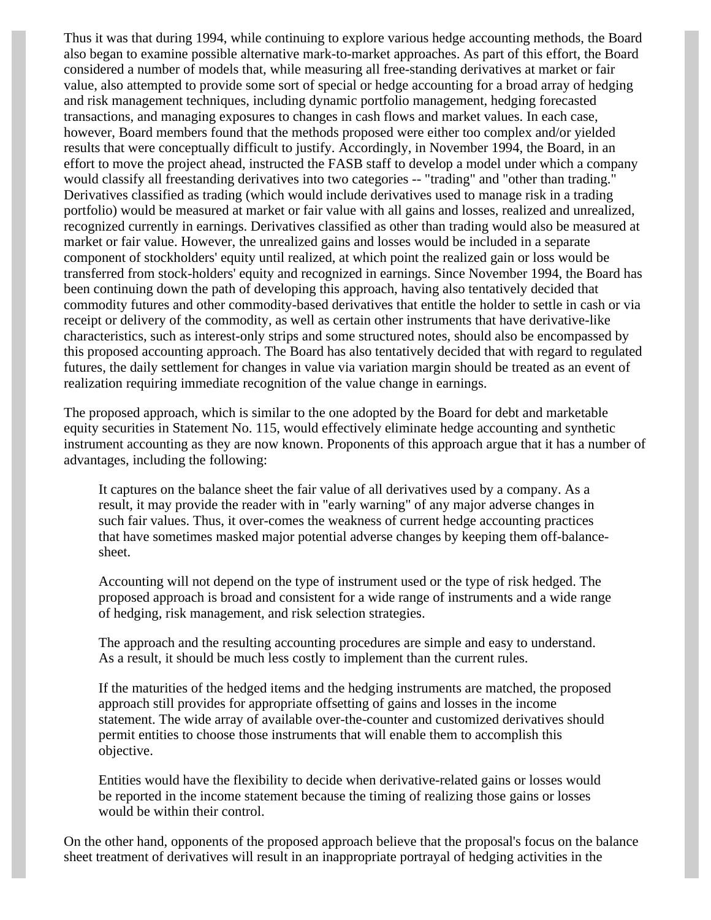Thus it was that during 1994, while continuing to explore various hedge accounting methods, the Board also began to examine possible alternative mark-to-market approaches. As part of this effort, the Board considered a number of models that, while measuring all free-standing derivatives at market or fair value, also attempted to provide some sort of special or hedge accounting for a broad array of hedging and risk management techniques, including dynamic portfolio management, hedging forecasted transactions, and managing exposures to changes in cash flows and market values. In each case, however, Board members found that the methods proposed were either too complex and/or yielded results that were conceptually difficult to justify. Accordingly, in November 1994, the Board, in an effort to move the project ahead, instructed the FASB staff to develop a model under which a company would classify all freestanding derivatives into two categories -- "trading" and "other than trading." Derivatives classified as trading (which would include derivatives used to manage risk in a trading portfolio) would be measured at market or fair value with all gains and losses, realized and unrealized, recognized currently in earnings. Derivatives classified as other than trading would also be measured at market or fair value. However, the unrealized gains and losses would be included in a separate component of stockholders' equity until realized, at which point the realized gain or loss would be transferred from stock-holders' equity and recognized in earnings. Since November 1994, the Board has been continuing down the path of developing this approach, having also tentatively decided that commodity futures and other commodity-based derivatives that entitle the holder to settle in cash or via receipt or delivery of the commodity, as well as certain other instruments that have derivative-like characteristics, such as interest-only strips and some structured notes, should also be encompassed by this proposed accounting approach. The Board has also tentatively decided that with regard to regulated futures, the daily settlement for changes in value via variation margin should be treated as an event of realization requiring immediate recognition of the value change in earnings.

The proposed approach, which is similar to the one adopted by the Board for debt and marketable equity securities in Statement No. 115, would effectively eliminate hedge accounting and synthetic instrument accounting as they are now known. Proponents of this approach argue that it has a number of advantages, including the following:

It captures on the balance sheet the fair value of all derivatives used by a company. As a result, it may provide the reader with in "early warning" of any major adverse changes in such fair values. Thus, it over-comes the weakness of current hedge accounting practices that have sometimes masked major potential adverse changes by keeping them off-balancesheet.

Accounting will not depend on the type of instrument used or the type of risk hedged. The proposed approach is broad and consistent for a wide range of instruments and a wide range of hedging, risk management, and risk selection strategies.

The approach and the resulting accounting procedures are simple and easy to understand. As a result, it should be much less costly to implement than the current rules.

If the maturities of the hedged items and the hedging instruments are matched, the proposed approach still provides for appropriate offsetting of gains and losses in the income statement. The wide array of available over-the-counter and customized derivatives should permit entities to choose those instruments that will enable them to accomplish this objective.

Entities would have the flexibility to decide when derivative-related gains or losses would be reported in the income statement because the timing of realizing those gains or losses would be within their control.

On the other hand, opponents of the proposed approach believe that the proposal's focus on the balance sheet treatment of derivatives will result in an inappropriate portrayal of hedging activities in the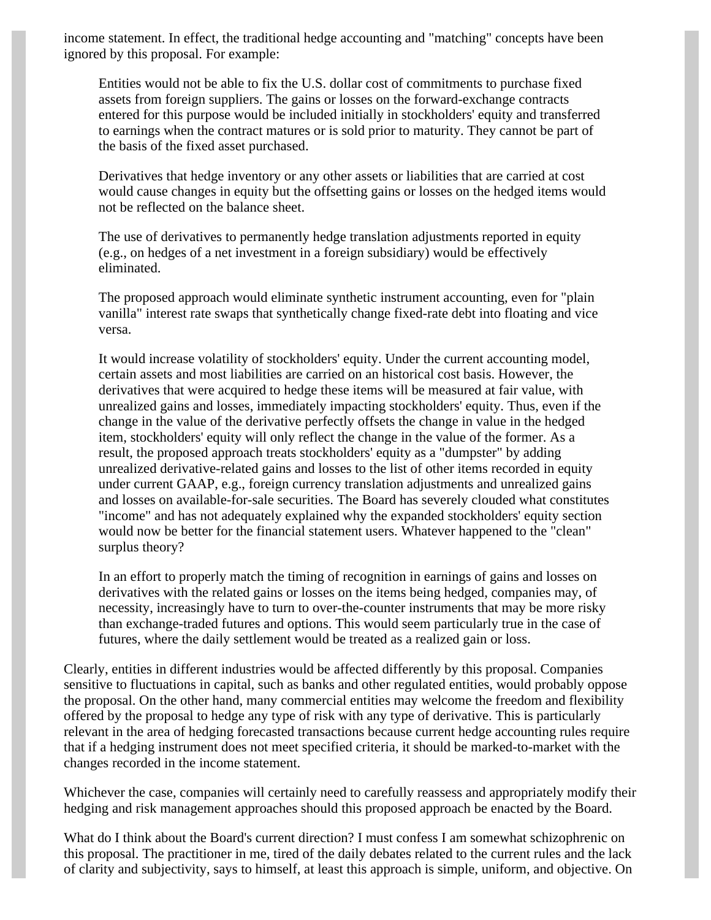income statement. In effect, the traditional hedge accounting and "matching" concepts have been ignored by this proposal. For example:

Entities would not be able to fix the U.S. dollar cost of commitments to purchase fixed assets from foreign suppliers. The gains or losses on the forward-exchange contracts entered for this purpose would be included initially in stockholders' equity and transferred to earnings when the contract matures or is sold prior to maturity. They cannot be part of the basis of the fixed asset purchased.

Derivatives that hedge inventory or any other assets or liabilities that are carried at cost would cause changes in equity but the offsetting gains or losses on the hedged items would not be reflected on the balance sheet.

The use of derivatives to permanently hedge translation adjustments reported in equity (e.g., on hedges of a net investment in a foreign subsidiary) would be effectively eliminated.

The proposed approach would eliminate synthetic instrument accounting, even for "plain vanilla" interest rate swaps that synthetically change fixed-rate debt into floating and vice versa.

It would increase volatility of stockholders' equity. Under the current accounting model, certain assets and most liabilities are carried on an historical cost basis. However, the derivatives that were acquired to hedge these items will be measured at fair value, with unrealized gains and losses, immediately impacting stockholders' equity. Thus, even if the change in the value of the derivative perfectly offsets the change in value in the hedged item, stockholders' equity will only reflect the change in the value of the former. As a result, the proposed approach treats stockholders' equity as a "dumpster" by adding unrealized derivative-related gains and losses to the list of other items recorded in equity under current GAAP, e.g., foreign currency translation adjustments and unrealized gains and losses on available-for-sale securities. The Board has severely clouded what constitutes "income" and has not adequately explained why the expanded stockholders' equity section would now be better for the financial statement users. Whatever happened to the "clean" surplus theory?

In an effort to properly match the timing of recognition in earnings of gains and losses on derivatives with the related gains or losses on the items being hedged, companies may, of necessity, increasingly have to turn to over-the-counter instruments that may be more risky than exchange-traded futures and options. This would seem particularly true in the case of futures, where the daily settlement would be treated as a realized gain or loss.

Clearly, entities in different industries would be affected differently by this proposal. Companies sensitive to fluctuations in capital, such as banks and other regulated entities, would probably oppose the proposal. On the other hand, many commercial entities may welcome the freedom and flexibility offered by the proposal to hedge any type of risk with any type of derivative. This is particularly relevant in the area of hedging forecasted transactions because current hedge accounting rules require that if a hedging instrument does not meet specified criteria, it should be marked-to-market with the changes recorded in the income statement.

Whichever the case, companies will certainly need to carefully reassess and appropriately modify their hedging and risk management approaches should this proposed approach be enacted by the Board.

What do I think about the Board's current direction? I must confess I am somewhat schizophrenic on this proposal. The practitioner in me, tired of the daily debates related to the current rules and the lack of clarity and subjectivity, says to himself, at least this approach is simple, uniform, and objective. On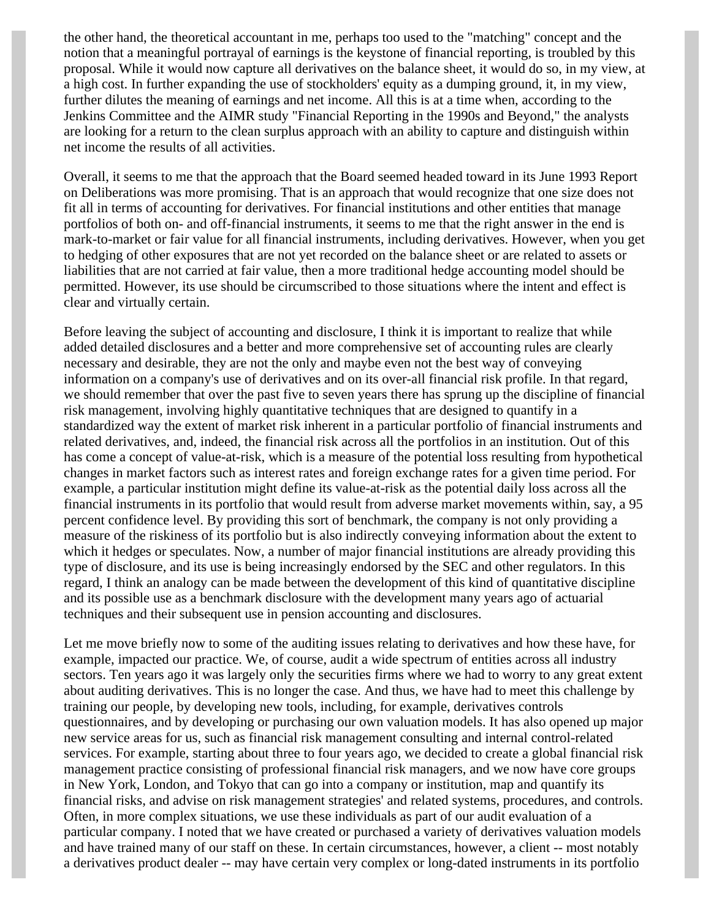the other hand, the theoretical accountant in me, perhaps too used to the "matching" concept and the notion that a meaningful portrayal of earnings is the keystone of financial reporting, is troubled by this proposal. While it would now capture all derivatives on the balance sheet, it would do so, in my view, at a high cost. In further expanding the use of stockholders' equity as a dumping ground, it, in my view, further dilutes the meaning of earnings and net income. All this is at a time when, according to the Jenkins Committee and the AIMR study "Financial Reporting in the 1990s and Beyond," the analysts are looking for a return to the clean surplus approach with an ability to capture and distinguish within net income the results of all activities.

Overall, it seems to me that the approach that the Board seemed headed toward in its June 1993 Report on Deliberations was more promising. That is an approach that would recognize that one size does not fit all in terms of accounting for derivatives. For financial institutions and other entities that manage portfolios of both on- and off-financial instruments, it seems to me that the right answer in the end is mark-to-market or fair value for all financial instruments, including derivatives. However, when you get to hedging of other exposures that are not yet recorded on the balance sheet or are related to assets or liabilities that are not carried at fair value, then a more traditional hedge accounting model should be permitted. However, its use should be circumscribed to those situations where the intent and effect is clear and virtually certain.

Before leaving the subject of accounting and disclosure, I think it is important to realize that while added detailed disclosures and a better and more comprehensive set of accounting rules are clearly necessary and desirable, they are not the only and maybe even not the best way of conveying information on a company's use of derivatives and on its over-all financial risk profile. In that regard, we should remember that over the past five to seven years there has sprung up the discipline of financial risk management, involving highly quantitative techniques that are designed to quantify in a standardized way the extent of market risk inherent in a particular portfolio of financial instruments and related derivatives, and, indeed, the financial risk across all the portfolios in an institution. Out of this has come a concept of value-at-risk, which is a measure of the potential loss resulting from hypothetical changes in market factors such as interest rates and foreign exchange rates for a given time period. For example, a particular institution might define its value-at-risk as the potential daily loss across all the financial instruments in its portfolio that would result from adverse market movements within, say, a 95 percent confidence level. By providing this sort of benchmark, the company is not only providing a measure of the riskiness of its portfolio but is also indirectly conveying information about the extent to which it hedges or speculates. Now, a number of major financial institutions are already providing this type of disclosure, and its use is being increasingly endorsed by the SEC and other regulators. In this regard, I think an analogy can be made between the development of this kind of quantitative discipline and its possible use as a benchmark disclosure with the development many years ago of actuarial techniques and their subsequent use in pension accounting and disclosures.

Let me move briefly now to some of the auditing issues relating to derivatives and how these have, for example, impacted our practice. We, of course, audit a wide spectrum of entities across all industry sectors. Ten years ago it was largely only the securities firms where we had to worry to any great extent about auditing derivatives. This is no longer the case. And thus, we have had to meet this challenge by training our people, by developing new tools, including, for example, derivatives controls questionnaires, and by developing or purchasing our own valuation models. It has also opened up major new service areas for us, such as financial risk management consulting and internal control-related services. For example, starting about three to four years ago, we decided to create a global financial risk management practice consisting of professional financial risk managers, and we now have core groups in New York, London, and Tokyo that can go into a company or institution, map and quantify its financial risks, and advise on risk management strategies' and related systems, procedures, and controls. Often, in more complex situations, we use these individuals as part of our audit evaluation of a particular company. I noted that we have created or purchased a variety of derivatives valuation models and have trained many of our staff on these. In certain circumstances, however, a client -- most notably a derivatives product dealer -- may have certain very complex or long-dated instruments in its portfolio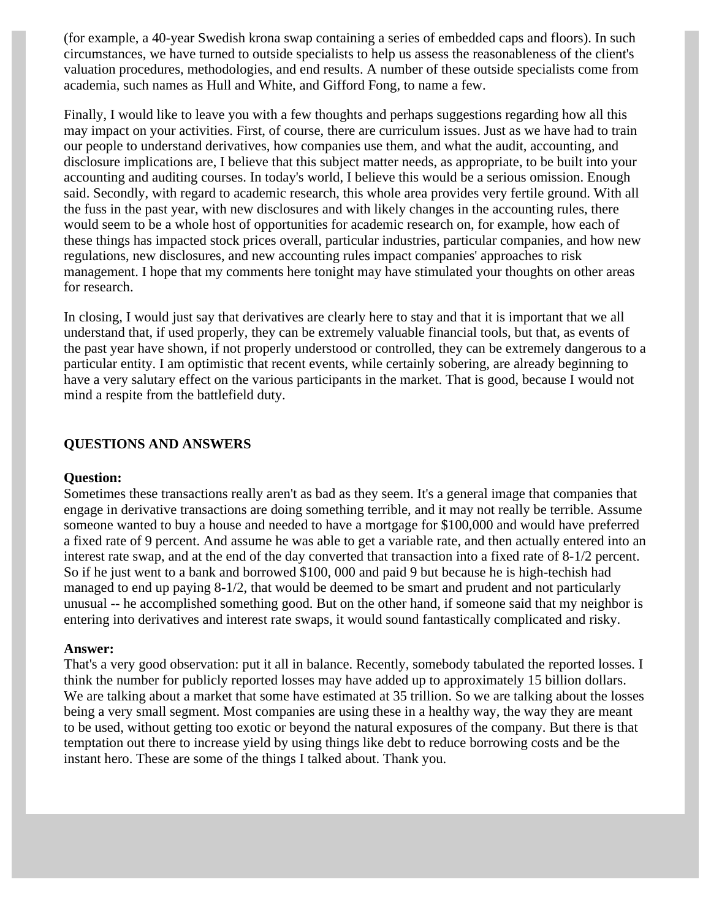(for example, a 40-year Swedish krona swap containing a series of embedded caps and floors). In such circumstances, we have turned to outside specialists to help us assess the reasonableness of the client's valuation procedures, methodologies, and end results. A number of these outside specialists come from academia, such names as Hull and White, and Gifford Fong, to name a few.

Finally, I would like to leave you with a few thoughts and perhaps suggestions regarding how all this may impact on your activities. First, of course, there are curriculum issues. Just as we have had to train our people to understand derivatives, how companies use them, and what the audit, accounting, and disclosure implications are, I believe that this subject matter needs, as appropriate, to be built into your accounting and auditing courses. In today's world, I believe this would be a serious omission. Enough said. Secondly, with regard to academic research, this whole area provides very fertile ground. With all the fuss in the past year, with new disclosures and with likely changes in the accounting rules, there would seem to be a whole host of opportunities for academic research on, for example, how each of these things has impacted stock prices overall, particular industries, particular companies, and how new regulations, new disclosures, and new accounting rules impact companies' approaches to risk management. I hope that my comments here tonight may have stimulated your thoughts on other areas for research.

In closing, I would just say that derivatives are clearly here to stay and that it is important that we all understand that, if used properly, they can be extremely valuable financial tools, but that, as events of the past year have shown, if not properly understood or controlled, they can be extremely dangerous to a particular entity. I am optimistic that recent events, while certainly sobering, are already beginning to have a very salutary effect on the various participants in the market. That is good, because I would not mind a respite from the battlefield duty.

#### **QUESTIONS AND ANSWERS**

#### **Question:**

Sometimes these transactions really aren't as bad as they seem. It's a general image that companies that engage in derivative transactions are doing something terrible, and it may not really be terrible. Assume someone wanted to buy a house and needed to have a mortgage for \$100,000 and would have preferred a fixed rate of 9 percent. And assume he was able to get a variable rate, and then actually entered into an interest rate swap, and at the end of the day converted that transaction into a fixed rate of 8-1/2 percent. So if he just went to a bank and borrowed \$100, 000 and paid 9 but because he is high-techish had managed to end up paying 8-1/2, that would be deemed to be smart and prudent and not particularly unusual -- he accomplished something good. But on the other hand, if someone said that my neighbor is entering into derivatives and interest rate swaps, it would sound fantastically complicated and risky.

#### **Answer:**

That's a very good observation: put it all in balance. Recently, somebody tabulated the reported losses. I think the number for publicly reported losses may have added up to approximately 15 billion dollars. We are talking about a market that some have estimated at 35 trillion. So we are talking about the losses being a very small segment. Most companies are using these in a healthy way, the way they are meant to be used, without getting too exotic or beyond the natural exposures of the company. But there is that temptation out there to increase yield by using things like debt to reduce borrowing costs and be the instant hero. These are some of the things I talked about. Thank you.